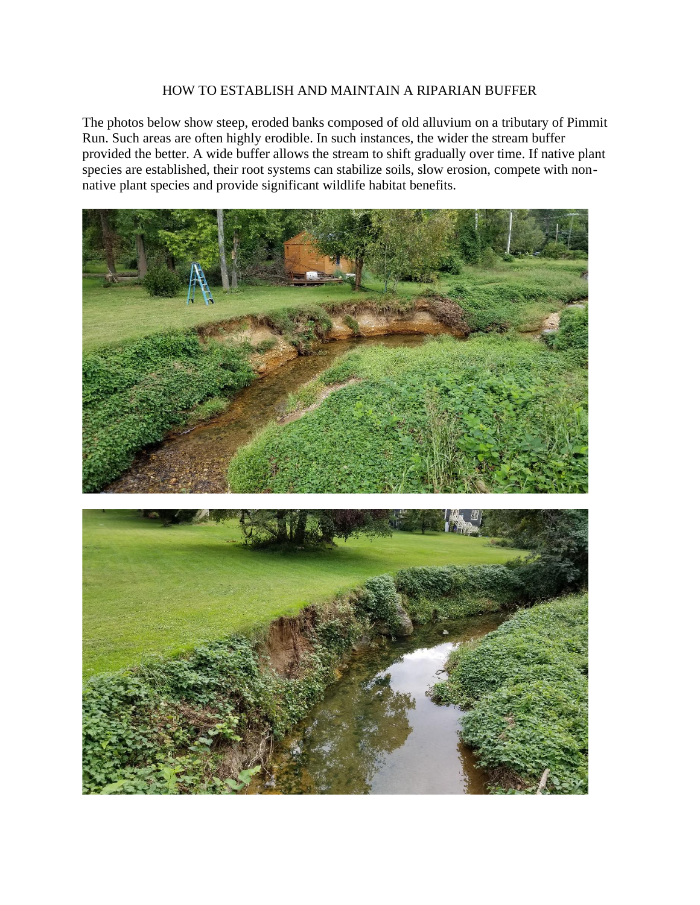## HOW TO ESTABLISH AND MAINTAIN A RIPARIAN BUFFER

The photos below show steep, eroded banks composed of old alluvium on a tributary of Pimmit Run. Such areas are often highly erodible. In such instances, the wider the stream buffer provided the better. A wide buffer allows the stream to shift gradually over time. If native plant species are established, their root systems can stabilize soils, slow erosion, compete with nonnative plant species and provide significant wildlife habitat benefits.



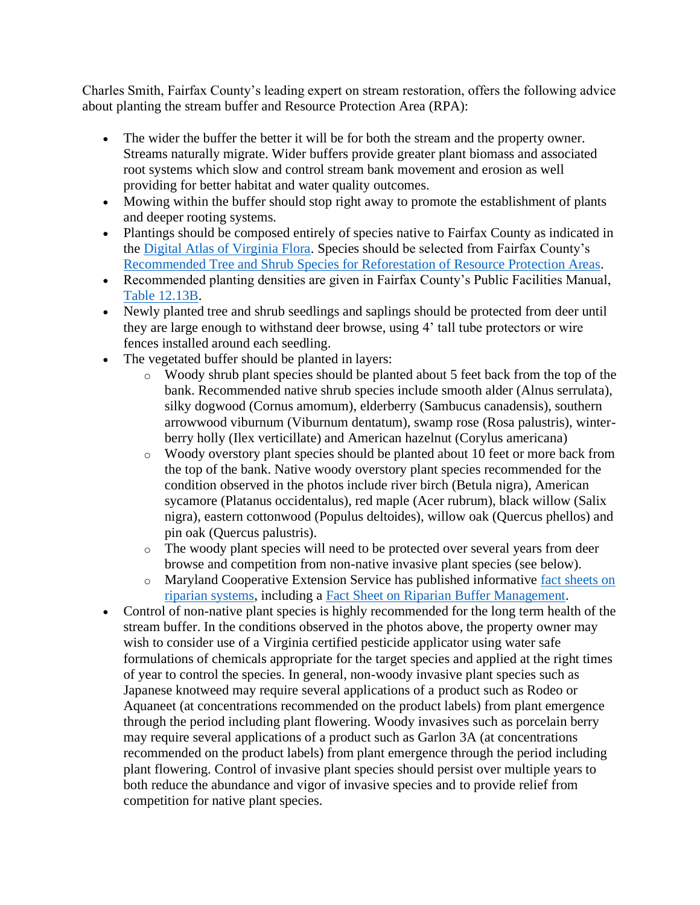Charles Smith, Fairfax County's leading expert on stream restoration, offers the following advice about planting the stream buffer and Resource Protection Area (RPA):

- The wider the buffer the better it will be for both the stream and the property owner. Streams naturally migrate. Wider buffers provide greater plant biomass and associated root systems which slow and control stream bank movement and erosion as well providing for better habitat and water quality outcomes.
- Mowing within the buffer should stop right away to promote the establishment of plants and deeper rooting systems.
- Plantings should be composed entirely of species native to Fairfax County as indicated in the [Digital Atlas of Virginia Flora.](http://vaplantatlas.org/) Species should be selected from Fairfax County's [Recommended Tree and Shrub Species for Reforestation of Resource Protection Areas.](https://www.fairfaxcounty.gov/landdevelopment/sites/landdevelopment/files/assets/documents/pdf/rpa_tree_and_shrub_list_9-24-07.pdf)
- Recommended planting densities are given in Fairfax County's Public Facilities Manual, [Table 12.13B.](https://online.encodeplus.com/regs/fairfaxcounty-va-pfm/doc-viewer.aspx#secid-564)
- Newly planted tree and shrub seedlings and saplings should be protected from deer until they are large enough to withstand deer browse, using 4' tall tube protectors or wire fences installed around each seedling.
- The vegetated buffer should be planted in layers:
	- o Woody shrub plant species should be planted about 5 feet back from the top of the bank. Recommended native shrub species include smooth alder (Alnus serrulata), silky dogwood (Cornus amomum), elderberry (Sambucus canadensis), southern arrowwood viburnum (Viburnum dentatum), swamp rose (Rosa palustris), winterberry holly (Ilex verticillate) and American hazelnut (Corylus americana)
	- o Woody overstory plant species should be planted about 10 feet or more back from the top of the bank. Native woody overstory plant species recommended for the condition observed in the photos include river birch (Betula nigra), American sycamore (Platanus occidentalus), red maple (Acer rubrum), black willow (Salix nigra), eastern cottonwood (Populus deltoides), willow oak (Quercus phellos) and pin oak (Quercus palustris).
	- o The woody plant species will need to be protected over several years from deer browse and competition from non-native invasive plant species (see below).
	- o Maryland Cooperative Extension Service has published informative [fact sheets on](https://extension.umd.edu/resources/environment-energy/chesapeake-bay/riparian-buffer-systems)  [riparian systems,](https://extension.umd.edu/resources/environment-energy/chesapeake-bay/riparian-buffer-systems) including a [Fact Sheet on Riparian Buffer Management.](https://extension.umd.edu/sites/default/files/2021-03/FS725_1.pdf)
- Control of non-native plant species is highly recommended for the long term health of the stream buffer. In the conditions observed in the photos above, the property owner may wish to consider use of a Virginia certified pesticide applicator using water safe formulations of chemicals appropriate for the target species and applied at the right times of year to control the species. In general, non-woody invasive plant species such as Japanese knotweed may require several applications of a product such as Rodeo or Aquaneet (at concentrations recommended on the product labels) from plant emergence through the period including plant flowering. Woody invasives such as porcelain berry may require several applications of a product such as Garlon 3A (at concentrations recommended on the product labels) from plant emergence through the period including plant flowering. Control of invasive plant species should persist over multiple years to both reduce the abundance and vigor of invasive species and to provide relief from competition for native plant species.